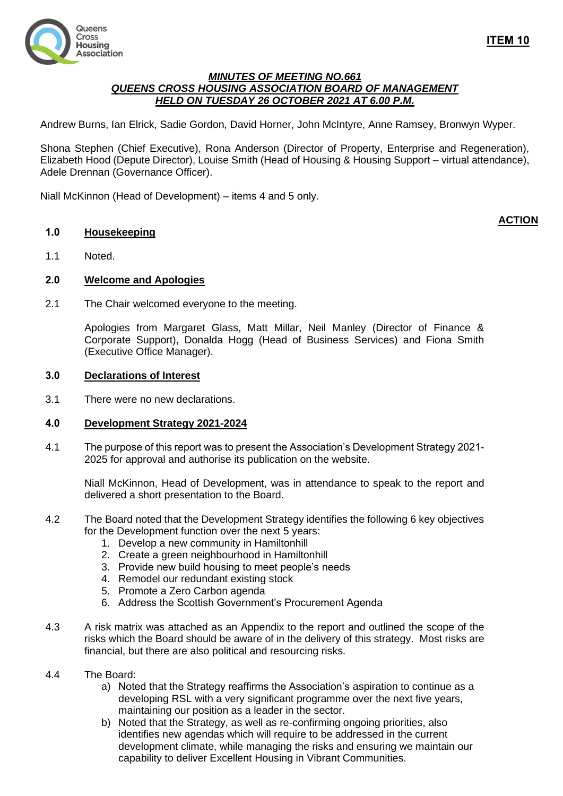

## *MINUTES OF MEETING NO.661 QUEENS CROSS HOUSING ASSOCIATION BOARD OF MANAGEMENT HELD ON TUESDAY 26 OCTOBER 2021 AT 6.00 P.M.*

Andrew Burns, Ian Elrick, Sadie Gordon, David Horner, John McIntyre, Anne Ramsey, Bronwyn Wyper.

Shona Stephen (Chief Executive), Rona Anderson (Director of Property, Enterprise and Regeneration), Elizabeth Hood (Depute Director), Louise Smith (Head of Housing & Housing Support – virtual attendance), Adele Drennan (Governance Officer).

Niall McKinnon (Head of Development) – items 4 and 5 only.

### **1.0 Housekeeping**

## **ACTION**

1.1 Noted.

#### **2.0 Welcome and Apologies**

2.1 The Chair welcomed everyone to the meeting.

Apologies from Margaret Glass, Matt Millar, Neil Manley (Director of Finance & Corporate Support), Donalda Hogg (Head of Business Services) and Fiona Smith (Executive Office Manager).

#### **3.0 Declarations of Interest**

3.1 There were no new declarations.

### **4.0 Development Strategy 2021-2024**

4.1 The purpose of this report was to present the Association's Development Strategy 2021- 2025 for approval and authorise its publication on the website.

Niall McKinnon, Head of Development, was in attendance to speak to the report and delivered a short presentation to the Board.

- 4.2 The Board noted that the Development Strategy identifies the following 6 key objectives for the Development function over the next 5 years:
	- 1. Develop a new community in Hamiltonhill
	- 2. Create a green neighbourhood in Hamiltonhill
	- 3. Provide new build housing to meet people's needs
	- 4. Remodel our redundant existing stock
	- 5. Promote a Zero Carbon agenda
	- 6. Address the Scottish Government's Procurement Agenda
- 4.3 A risk matrix was attached as an Appendix to the report and outlined the scope of the risks which the Board should be aware of in the delivery of this strategy. Most risks are financial, but there are also political and resourcing risks.
- 4.4 The Board:
	- a) Noted that the Strategy reaffirms the Association's aspiration to continue as a developing RSL with a very significant programme over the next five years, maintaining our position as a leader in the sector.
	- b) Noted that the Strategy, as well as re-confirming ongoing priorities, also identifies new agendas which will require to be addressed in the current development climate, while managing the risks and ensuring we maintain our capability to deliver Excellent Housing in Vibrant Communities.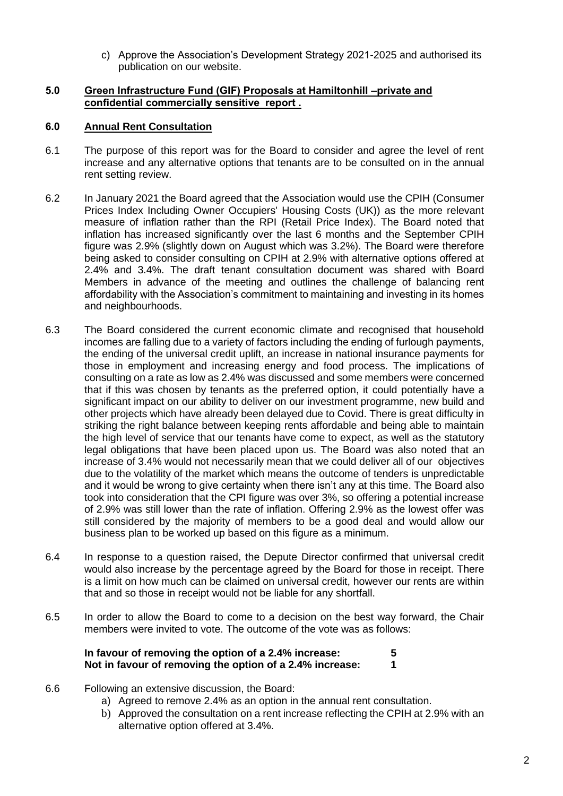c) Approve the Association's Development Strategy 2021-2025 and authorised its publication on our website.

## **5.0 Green Infrastructure Fund (GIF) Proposals at Hamiltonhill –private and confidential commercially sensitive report .**

## **6.0 Annual Rent Consultation**

- 6.1 The purpose of this report was for the Board to consider and agree the level of rent increase and any alternative options that tenants are to be consulted on in the annual rent setting review.
- 6.2 In January 2021 the Board agreed that the Association would use the CPIH (Consumer Prices Index Including Owner Occupiers' Housing Costs (UK)) as the more relevant measure of inflation rather than the RPI (Retail Price Index). The Board noted that inflation has increased significantly over the last 6 months and the September CPIH figure was 2.9% (slightly down on August which was 3.2%). The Board were therefore being asked to consider consulting on CPIH at 2.9% with alternative options offered at 2.4% and 3.4%. The draft tenant consultation document was shared with Board Members in advance of the meeting and outlines the challenge of balancing rent affordability with the Association's commitment to maintaining and investing in its homes and neighbourhoods.
- 6.3 The Board considered the current economic climate and recognised that household incomes are falling due to a variety of factors including the ending of furlough payments, the ending of the universal credit uplift, an increase in national insurance payments for those in employment and increasing energy and food process. The implications of consulting on a rate as low as 2.4% was discussed and some members were concerned that if this was chosen by tenants as the preferred option, it could potentially have a significant impact on our ability to deliver on our investment programme, new build and other projects which have already been delayed due to Covid. There is great difficulty in striking the right balance between keeping rents affordable and being able to maintain the high level of service that our tenants have come to expect, as well as the statutory legal obligations that have been placed upon us. The Board was also noted that an increase of 3.4% would not necessarily mean that we could deliver all of our objectives due to the volatility of the market which means the outcome of tenders is unpredictable and it would be wrong to give certainty when there isn't any at this time. The Board also took into consideration that the CPI figure was over 3%, so offering a potential increase of 2.9% was still lower than the rate of inflation. Offering 2.9% as the lowest offer was still considered by the majority of members to be a good deal and would allow our business plan to be worked up based on this figure as a minimum.
- 6.4 In response to a question raised, the Depute Director confirmed that universal credit would also increase by the percentage agreed by the Board for those in receipt. There is a limit on how much can be claimed on universal credit, however our rents are within that and so those in receipt would not be liable for any shortfall.
- 6.5 In order to allow the Board to come to a decision on the best way forward, the Chair members were invited to vote. The outcome of the vote was as follows:

| In favour of removing the option of a 2.4% increase:     |  |
|----------------------------------------------------------|--|
| Not in favour of removing the option of a 2.4% increase: |  |

- 6.6 Following an extensive discussion, the Board:
	- a) Agreed to remove 2.4% as an option in the annual rent consultation.
	- b) Approved the consultation on a rent increase reflecting the CPIH at 2.9% with an alternative option offered at 3.4%.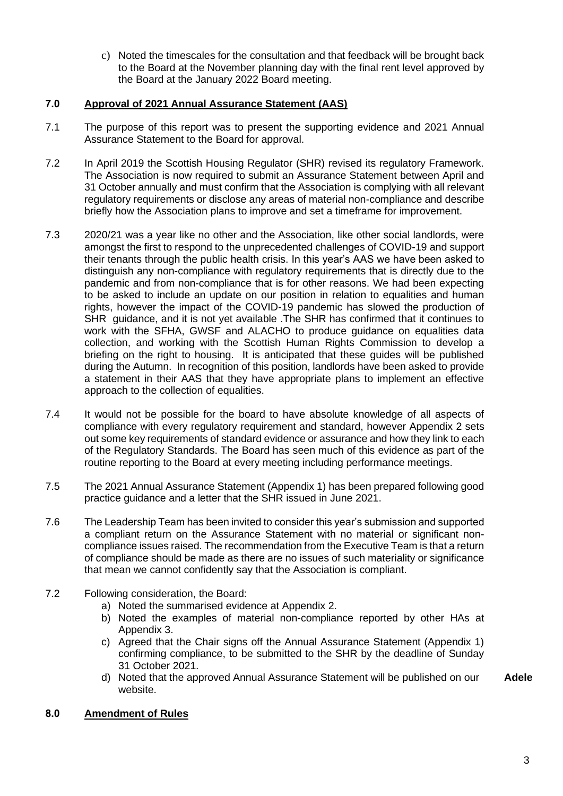c) Noted the timescales for the consultation and that feedback will be brought back to the Board at the November planning day with the final rent level approved by the Board at the January 2022 Board meeting.

# **7.0 Approval of 2021 Annual Assurance Statement (AAS)**

- 7.1 The purpose of this report was to present the supporting evidence and 2021 Annual Assurance Statement to the Board for approval.
- 7.2 In April 2019 the Scottish Housing Regulator (SHR) revised its regulatory Framework. The Association is now required to submit an Assurance Statement between April and 31 October annually and must confirm that the Association is complying with all relevant regulatory requirements or disclose any areas of material non-compliance and describe briefly how the Association plans to improve and set a timeframe for improvement.
- 7.3 2020/21 was a year like no other and the Association, like other social landlords, were amongst the first to respond to the unprecedented challenges of COVID-19 and support their tenants through the public health crisis. In this year's AAS we have been asked to distinguish any non-compliance with regulatory requirements that is directly due to the pandemic and from non-compliance that is for other reasons. We had been expecting to be asked to include an update on our position in relation to equalities and human rights, however the impact of the COVID-19 pandemic has slowed the production of SHR guidance, and it is not yet available . The SHR has confirmed that it continues to work with the SFHA, GWSF and ALACHO to produce guidance on equalities data collection, and working with the Scottish Human Rights Commission to develop a briefing on the right to housing. It is anticipated that these guides will be published during the Autumn. In recognition of this position, landlords have been asked to provide a statement in their AAS that they have appropriate plans to implement an effective approach to the collection of equalities.
- 7.4 It would not be possible for the board to have absolute knowledge of all aspects of compliance with every regulatory requirement and standard, however Appendix 2 sets out some key requirements of standard evidence or assurance and how they link to each of the Regulatory Standards. The Board has seen much of this evidence as part of the routine reporting to the Board at every meeting including performance meetings.
- 7.5 The 2021 Annual Assurance Statement (Appendix 1) has been prepared following good practice guidance and a letter that the SHR issued in June 2021.
- 7.6 The Leadership Team has been invited to consider this year's submission and supported a compliant return on the Assurance Statement with no material or significant noncompliance issues raised. The recommendation from the Executive Team is that a return of compliance should be made as there are no issues of such materiality or significance that mean we cannot confidently say that the Association is compliant.
- 7.2 Following consideration, the Board:
	- a) Noted the summarised evidence at Appendix 2.
	- b) Noted the examples of material non-compliance reported by other HAs at Appendix 3.
	- c) Agreed that the Chair signs off the Annual Assurance Statement (Appendix 1) confirming compliance, to be submitted to the SHR by the deadline of Sunday 31 October 2021.
	- d) Noted that the approved Annual Assurance Statement will be published on our website.

## **8.0 Amendment of Rules**

**Adele**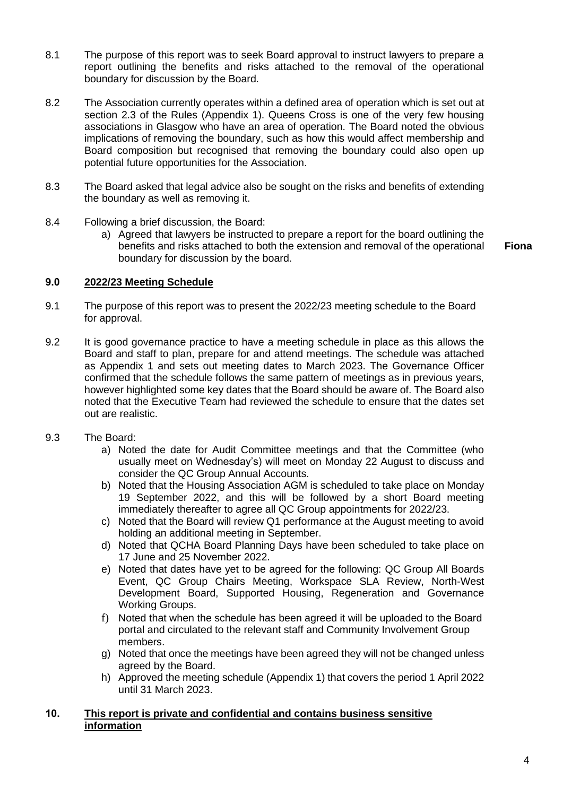- 8.1 The purpose of this report was to seek Board approval to instruct lawyers to prepare a report outlining the benefits and risks attached to the removal of the operational boundary for discussion by the Board.
- 8.2 The Association currently operates within a defined area of operation which is set out at section 2.3 of the Rules (Appendix 1). Queens Cross is one of the very few housing associations in Glasgow who have an area of operation. The Board noted the obvious implications of removing the boundary, such as how this would affect membership and Board composition but recognised that removing the boundary could also open up potential future opportunities for the Association.
- 8.3 The Board asked that legal advice also be sought on the risks and benefits of extending the boundary as well as removing it.
- 8.4 Following a brief discussion, the Board:
	- a) Agreed that lawyers be instructed to prepare a report for the board outlining the benefits and risks attached to both the extension and removal of the operational boundary for discussion by the board.

**Fiona**

### **9.0 2022/23 Meeting Schedule**

- 9.1 The purpose of this report was to present the 2022/23 meeting schedule to the Board for approval.
- 9.2 It is good governance practice to have a meeting schedule in place as this allows the Board and staff to plan, prepare for and attend meetings. The schedule was attached as Appendix 1 and sets out meeting dates to March 2023. The Governance Officer confirmed that the schedule follows the same pattern of meetings as in previous years, however highlighted some key dates that the Board should be aware of. The Board also noted that the Executive Team had reviewed the schedule to ensure that the dates set out are realistic.
- 9.3 The Board:
	- a) Noted the date for Audit Committee meetings and that the Committee (who usually meet on Wednesday's) will meet on Monday 22 August to discuss and consider the QC Group Annual Accounts.
	- b) Noted that the Housing Association AGM is scheduled to take place on Monday 19 September 2022, and this will be followed by a short Board meeting immediately thereafter to agree all QC Group appointments for 2022/23.
	- c) Noted that the Board will review Q1 performance at the August meeting to avoid holding an additional meeting in September.
	- d) Noted that QCHA Board Planning Days have been scheduled to take place on 17 June and 25 November 2022.
	- e) Noted that dates have yet to be agreed for the following: QC Group All Boards Event, QC Group Chairs Meeting, Workspace SLA Review, North-West Development Board, Supported Housing, Regeneration and Governance Working Groups.
	- f) Noted that when the schedule has been agreed it will be uploaded to the Board portal and circulated to the relevant staff and Community Involvement Group members.
	- g) Noted that once the meetings have been agreed they will not be changed unless agreed by the Board.
	- h) Approved the meeting schedule (Appendix 1) that covers the period 1 April 2022 until 31 March 2023.

## **10. This report is private and confidential and contains business sensitive information**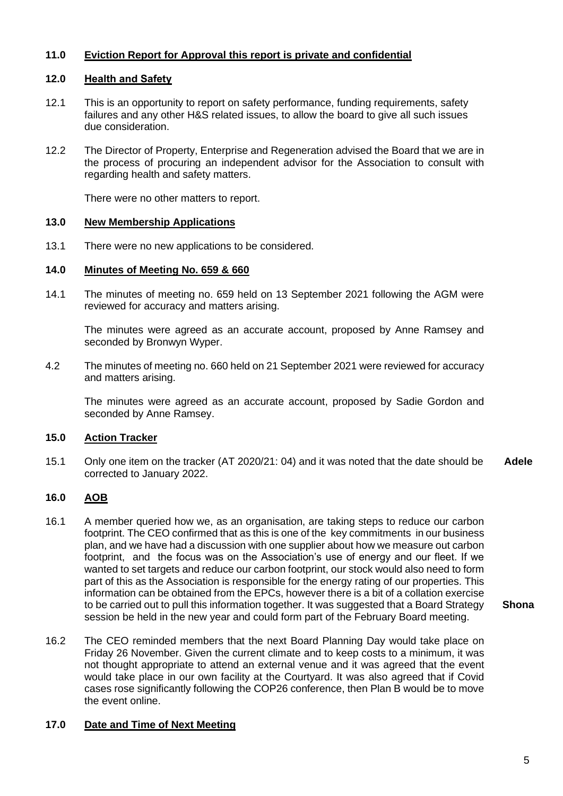# **11.0 Eviction Report for Approval this report is private and confidential**

# **12.0 Health and Safety**

- 12.1 This is an opportunity to report on safety performance, funding requirements, safety failures and any other H&S related issues, to allow the board to give all such issues due consideration.
- 12.2 The Director of Property, Enterprise and Regeneration advised the Board that we are in the process of procuring an independent advisor for the Association to consult with regarding health and safety matters.

There were no other matters to report.

### **13.0 New Membership Applications**

13.1 There were no new applications to be considered.

## **14.0 Minutes of Meeting No. 659 & 660**

14.1 The minutes of meeting no. 659 held on 13 September 2021 following the AGM were reviewed for accuracy and matters arising.

The minutes were agreed as an accurate account, proposed by Anne Ramsey and seconded by Bronwyn Wyper.

4.2 The minutes of meeting no. 660 held on 21 September 2021 were reviewed for accuracy and matters arising.

The minutes were agreed as an accurate account, proposed by Sadie Gordon and seconded by Anne Ramsey.

## **15.0 Action Tracker**

15.1 Only one item on the tracker (AT 2020/21: 04) and it was noted that the date should be corrected to January 2022. **Adele**

## **16.0 AOB**

- 16.1 A member queried how we, as an organisation, are taking steps to reduce our carbon footprint. The CEO confirmed that as this is one of the key commitments in our business plan, and we have had a discussion with one supplier about how we measure out carbon footprint, and the focus was on the Association's use of energy and our fleet. If we wanted to set targets and reduce our carbon footprint, our stock would also need to form part of this as the Association is responsible for the energy rating of our properties. This information can be obtained from the EPCs, however there is a bit of a collation exercise to be carried out to pull this information together. It was suggested that a Board Strategy session be held in the new year and could form part of the February Board meeting. **Shona**
- 16.2 The CEO reminded members that the next Board Planning Day would take place on Friday 26 November. Given the current climate and to keep costs to a minimum, it was not thought appropriate to attend an external venue and it was agreed that the event would take place in our own facility at the Courtyard. It was also agreed that if Covid cases rose significantly following the COP26 conference, then Plan B would be to move the event online.

## **17.0 Date and Time of Next Meeting**